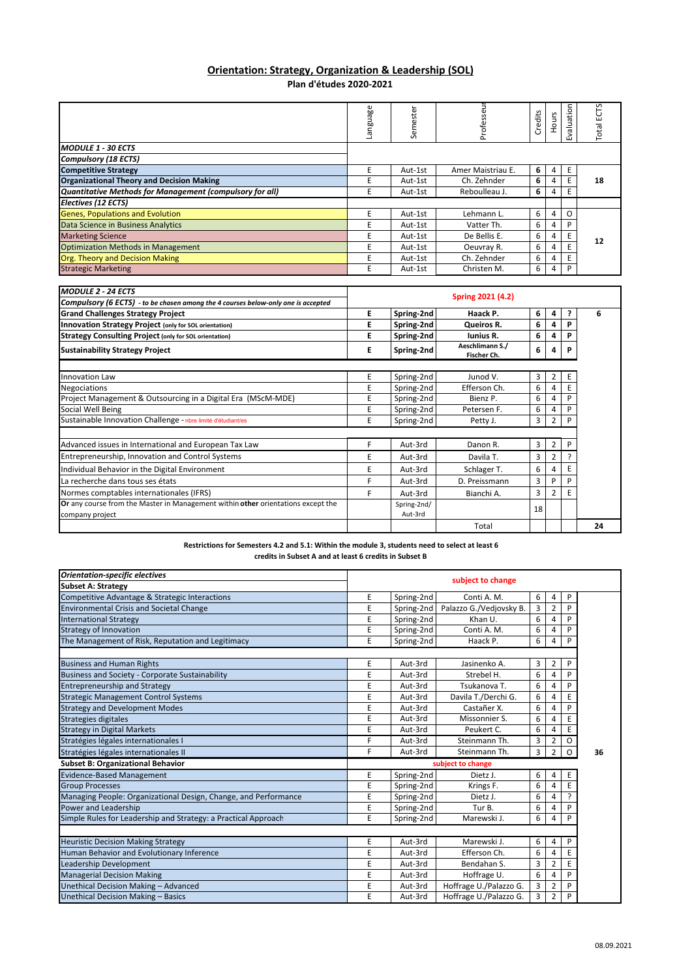## **Orientation: Strategy, Organization & Leadership (SOL) Plan d'études 2020‐2021**

|                                                          | agenst<br><u>ی</u> | estei<br>ω<br>Ū | ∍<br>Profes       | edits<br>δ | ours | Evaluation | ٣<br>نا<br>Total <sup>1</sup> |
|----------------------------------------------------------|--------------------|-----------------|-------------------|------------|------|------------|-------------------------------|
| <b>MODULE 1 - 30 ECTS</b>                                |                    |                 |                   |            |      |            |                               |
| <b>Compulsory (18 ECTS)</b>                              |                    |                 |                   |            |      |            |                               |
| <b>Competitive Strategy</b>                              | E                  | Aut-1st         | Amer Maistriau E. | 6          | 4    | E          |                               |
| <b>Organizational Theory and Decision Making</b>         | F                  | Aut-1st         | Ch. Zehnder       | 6          | 4    | E          | 18                            |
| Quantitative Methods for Management (compulsory for all) | E                  | Aut-1st         | Reboulleau J.     | 6          | 4    | E          |                               |
| Electives (12 ECTS)                                      |                    |                 |                   |            |      |            |                               |
| <b>Genes, Populations and Evolution</b>                  | F                  | Aut-1st         | Lehmann L.        | 6          |      | ი          |                               |
| Data Science in Business Analytics                       | F                  | Aut-1st         | Vatter Th.        | 6          | 4    | P          |                               |
| <b>Marketing Science</b>                                 | F                  | Aut-1st         | De Bellis E.      | 6          | 4    | E          | 12                            |
| <b>Optimization Methods in Management</b>                | F                  | Aut-1st         | Oeuvray R.        | 6          |      |            |                               |
| Org. Theory and Decision Making                          | F                  | Aut-1st         | Ch. Zehnder       | 6          |      | E          |                               |
| <b>Strategic Marketing</b>                               | E                  | Aut-1st         | Christen M.       | 6          | 4    | P          |                               |

| <b>MODULE 2 - 24 ECTS</b>                                                                           |                   |                        |                                |    |   |   |    |
|-----------------------------------------------------------------------------------------------------|-------------------|------------------------|--------------------------------|----|---|---|----|
| Compulsory (6 ECTS) - to be chosen among the 4 courses below-only one is accepted                   | Spring 2021 (4.2) |                        |                                |    |   |   |    |
| <b>Grand Challenges Strategy Project</b>                                                            | Е                 | Spring-2nd             | Haack P.                       | 6  | 4 |   | 6  |
| Innovation Strategy Project (only for SOL orientation)                                              | E                 | Spring-2nd             | Queiros R.                     | 6  | 4 | P |    |
| <b>Strategy Consulting Project (only for SOL orientation)</b>                                       | E                 | Spring-2nd             | <b>Iunius R.</b>               | 6  |   |   |    |
| <b>Sustainability Strategy Project</b>                                                              | Ε                 | Spring-2nd             | Aeschlimann S./<br>Fischer Ch. | 6  | 4 | P |    |
|                                                                                                     |                   |                        |                                |    |   |   |    |
| <b>Innovation Law</b>                                                                               | Ε                 | Spring-2nd             | Junod V.                       | 3  |   | Е |    |
| <b>Negociations</b>                                                                                 | E                 | Spring-2nd             | Efferson Ch.                   | 6  |   |   |    |
| Project Management & Outsourcing in a Digital Era (MScM-MDE)                                        | E                 | Spring-2nd             | Bienz P.                       | 6  |   | P |    |
| Social Well Being                                                                                   | Ε                 | Spring-2nd             | Petersen F.                    | 6  |   |   |    |
| Sustainable Innovation Challenge - nbre limité d'étudiant/es                                        | E                 | Spring-2nd             | Petty J.                       | 3  | 2 | P |    |
| Advanced issues in International and European Tax Law                                               | F                 | Aut-3rd                | Danon R.                       | 3  | 2 | P |    |
| Entrepreneurship, Innovation and Control Systems                                                    | E                 | Aut-3rd                | Davila T.                      | 3  | 2 |   |    |
| Individual Behavior in the Digital Environment                                                      | Ε                 | Aut-3rd                | Schlager T.                    | 6  |   |   |    |
| La recherche dans tous ses états                                                                    |                   | Aut-3rd                | D. Preissmann                  | 3  |   | D |    |
| Normes comptables internationales (IFRS)                                                            | F                 | Aut-3rd                | Bianchi A.                     | 3  |   |   |    |
| Or any course from the Master in Management within other orientations except the<br>company project |                   | Spring-2nd/<br>Aut-3rd |                                | 18 |   |   |    |
|                                                                                                     |                   |                        | Total                          |    |   |   | 24 |

**Restrictions for Semesters 4.2 and 5.1: Within the module 3, students need to select at least 6 credits in Subset A and at least 6 credits in Subset B**

| <b>Orientation-specific electives</b>                           | subject to change |            |                         |   |                |               |    |
|-----------------------------------------------------------------|-------------------|------------|-------------------------|---|----------------|---------------|----|
| <b>Subset A: Strategy</b>                                       |                   |            |                         |   |                |               |    |
| Competitive Advantage & Strategic Interactions                  | Ε                 | Spring-2nd | Conti A. M.             | 6 | 4              | P             |    |
| <b>Environmental Crisis and Societal Change</b>                 | E                 | Spring-2nd | Palazzo G./Vedjovsky B. | 3 | $\overline{2}$ | P             |    |
| <b>International Strategy</b>                                   | E                 | Spring-2nd | Khan U.                 | 6 | 4              | P             |    |
| <b>Strategy of Innovation</b>                                   | E                 | Spring-2nd | Conti A. M.             | 6 | 4              | P             |    |
| The Management of Risk, Reputation and Legitimacy               | E                 | Spring-2nd | Haack P.                | 6 | 4              | P             |    |
| <b>Business and Human Rights</b>                                | Ε                 | Aut-3rd    | Jasinenko A.            | 3 | 2              | P             |    |
| <b>Business and Society - Corporate Sustainability</b>          | E                 | Aut-3rd    | Strebel H.              | 6 | 4              | P             |    |
| <b>Entrepreneurship and Strategy</b>                            | Ε                 | Aut-3rd    | Tsukanova T.            | 6 | 4              | P             |    |
| <b>Strategic Management Control Systems</b>                     | E                 | Aut-3rd    | Davila T./Derchi G.     | 6 | 4              | E             |    |
| <b>Strategy and Development Modes</b>                           | E                 | Aut-3rd    | Castañer X.             | 6 | 4              | P             |    |
| Strategies digitales                                            | E                 | Aut-3rd    | Missonnier S.           | 6 | 4              | E             |    |
| <b>Strategy in Digital Markets</b>                              | E                 | Aut-3rd    | Peukert C.              | 6 | 4              | E             |    |
| Stratégies légales internationales I                            | F                 | Aut-3rd    | Steinmann Th.           | 3 | 2              | 0             |    |
| Stratégies légales internationales II                           | F                 | Aut-3rd    | Steinmann Th.           | 3 | $\overline{2}$ | $\circ$       | 36 |
| <b>Subset B: Organizational Behavior</b>                        |                   |            | subject to change       |   |                |               |    |
| <b>Evidence-Based Management</b>                                | E                 | Spring-2nd | Dietz J.                | 6 | 4              | Ε             |    |
| <b>Group Processes</b>                                          | E                 | Spring-2nd | Krings F.               | 6 | 4              | E             |    |
| Managing People: Organizational Design, Change, and Performance | E                 | Spring-2nd | Dietz J.                | 6 | 4              | $\mathcal{P}$ |    |
| Power and Leadership                                            | Ε                 | Spring-2nd | Tur B.                  | 6 | 4              | P             |    |
| Simple Rules for Leadership and Strategy: a Practical Approach  | E                 | Spring-2nd | Marewski J.             | 6 | 4              | P             |    |
|                                                                 |                   |            |                         |   |                |               |    |
| <b>Heuristic Decision Making Strategy</b>                       | E                 | Aut-3rd    | Marewski J.             | 6 | 4              | P             |    |
| Human Behavior and Evolutionary Inference                       | E                 | Aut-3rd    | Efferson Ch.            | 6 | $\overline{4}$ | E             |    |
| Leadership Development                                          | E                 | Aut-3rd    | Bendahan S.             | 3 | $\overline{2}$ | E             |    |
| <b>Managerial Decision Making</b>                               | E                 | Aut-3rd    | Hoffrage U.             | 6 | 4              | P             |    |
| Unethical Decision Making - Advanced                            | E                 | Aut-3rd    | Hoffrage U./Palazzo G.  | 3 | 2              | P             |    |
| Unethical Decision Making - Basics                              | E                 | Aut-3rd    | Hoffrage U./Palazzo G.  | 3 | $\overline{2}$ | P             |    |